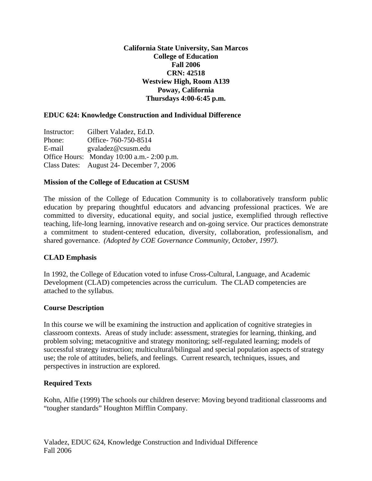**California State University, San Marcos College of Education Fall 2006 CRN: 42518 Westview High, Room A139 Poway, California Thursdays 4:00-6:45 p.m.** 

### **EDUC 624: Knowledge Construction and Individual Difference**

Instructor: Gilbert Valadez, Ed.D. Phone: Office- 760-750-8514 E-mail gvaladez@csusm.edu Office Hours: Monday 10:00 a.m.- 2:00 p.m. Class Dates: August 24- December 7, 2006

#### **Mission of the College of Education at CSUSM**

The mission of the College of Education Community is to collaboratively transform public education by preparing thoughtful educators and advancing professional practices. We are committed to diversity, educational equity, and social justice, exemplified through reflective teaching, life-long learning, innovative research and on-going service. Our practices demonstrate a commitment to student-centered education, diversity, collaboration, professionalism, and shared governance. *(Adopted by COE Governance Community, October, 1997).* 

#### **CLAD Emphasis**

In 1992, the College of Education voted to infuse Cross-Cultural, Language, and Academic Development (CLAD) competencies across the curriculum. The CLAD competencies are attached to the syllabus.

#### **Course Description**

In this course we will be examining the instruction and application of cognitive strategies in classroom contexts. Areas of study include: assessment, strategies for learning, thinking, and problem solving; metacognitive and strategy monitoring; self-regulated learning; models of successful strategy instruction; multicultural/bilingual and special population aspects of strategy use; the role of attitudes, beliefs, and feelings. Current research, techniques, issues, and perspectives in instruction are explored.

#### **Required Texts**

Kohn, Alfie (1999) The schools our children deserve: Moving beyond traditional classrooms and "tougher standards" Houghton Mifflin Company.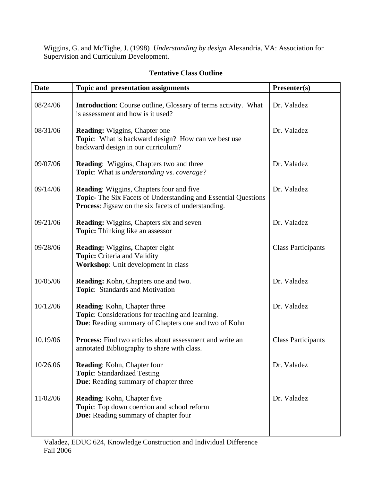Wiggins, G. and McTighe, J. (1998) *Understanding by design* Alexandria, VA: Association for Supervision and Curriculum Development.

| <b>Date</b> | Topic and presentation assignments                                                                                                                                                     | Presenter(s)              |
|-------------|----------------------------------------------------------------------------------------------------------------------------------------------------------------------------------------|---------------------------|
| 08/24/06    | <b>Introduction:</b> Course outline, Glossary of terms activity. What<br>is assessment and how is it used?                                                                             | Dr. Valadez               |
| 08/31/06    | <b>Reading:</b> Wiggins, Chapter one<br>Topic: What is backward design? How can we best use<br>backward design in our curriculum?                                                      | Dr. Valadez               |
| 09/07/06    | <b>Reading:</b> Wiggins, Chapters two and three<br><b>Topic:</b> What is <i>understanding</i> vs. <i>coverage?</i>                                                                     | Dr. Valadez               |
| 09/14/06    | <b>Reading:</b> Wiggins, Chapters four and five<br><b>Topic-</b> The Six Facets of Understanding and Essential Questions<br><b>Process:</b> Jigsaw on the six facets of understanding. | Dr. Valadez               |
| 09/21/06    | <b>Reading:</b> Wiggins, Chapters six and seven<br><b>Topic:</b> Thinking like an assessor                                                                                             | Dr. Valadez               |
| 09/28/06    | <b>Reading: Wiggins, Chapter eight</b><br>Topic: Criteria and Validity<br><b>Workshop:</b> Unit development in class                                                                   | <b>Class Participants</b> |
| 10/05/06    | <b>Reading:</b> Kohn, Chapters one and two.<br>Topic: Standards and Motivation                                                                                                         | Dr. Valadez               |
| 10/12/06    | <b>Reading:</b> Kohn, Chapter three<br>Topic: Considerations for teaching and learning.<br>Due: Reading summary of Chapters one and two of Kohn                                        | Dr. Valadez               |
| 10.19/06    | <b>Process:</b> Find two articles about assessment and write an<br>annotated Bibliography to share with class.                                                                         | <b>Class Participants</b> |
| 10/26.06    | Reading: Kohn, Chapter four<br><b>Topic: Standardized Testing</b><br><b>Due:</b> Reading summary of chapter three                                                                      | Dr. Valadez               |
| 11/02/06    | <b>Reading:</b> Kohn, Chapter five<br>Topic: Top down coercion and school reform<br><b>Due:</b> Reading summary of chapter four                                                        | Dr. Valadez               |

# **Tentative Class Outline**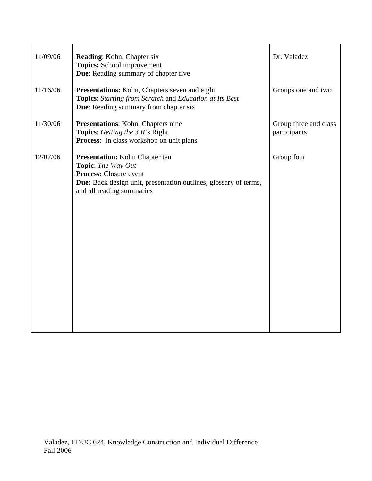| 11/09/06 | <b>Reading:</b> Kohn, Chapter six<br>Topics: School improvement<br>Due: Reading summary of chapter five                                                                                       | Dr. Valadez                           |
|----------|-----------------------------------------------------------------------------------------------------------------------------------------------------------------------------------------------|---------------------------------------|
| 11/16/06 | Presentations: Kohn, Chapters seven and eight<br>Topics: Starting from Scratch and Education at Its Best<br><b>Due:</b> Reading summary from chapter six                                      | Groups one and two                    |
| 11/30/06 | <b>Presentations:</b> Kohn, Chapters nine<br><b>Topics:</b> Getting the 3 R's Right<br>Process: In class workshop on unit plans                                                               | Group three and class<br>participants |
| 12/07/06 | <b>Presentation:</b> Kohn Chapter ten<br>Topic: The Way Out<br><b>Process:</b> Closure event<br>Due: Back design unit, presentation outlines, glossary of terms,<br>and all reading summaries | Group four                            |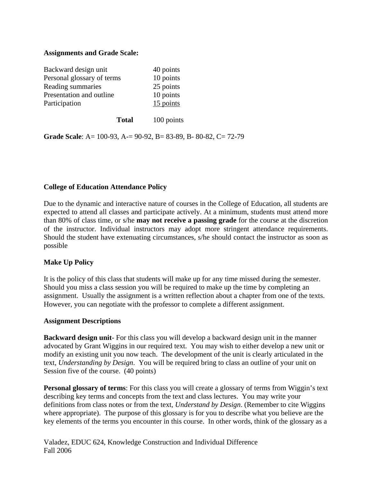#### **Assignments and Grade Scale:**

| Backward design unit       | 40 points |
|----------------------------|-----------|
| Personal glossary of terms | 10 points |
| Reading summaries          | 25 points |
| Presentation and outline   | 10 points |
| Participation              | 15 points |

**Total** 100 points

**Grade Scale**: A= 100-93, A-= 90-92, B= 83-89, B- 80-82, C= 72-79

### **College of Education Attendance Policy**

Due to the dynamic and interactive nature of courses in the College of Education, all students are expected to attend all classes and participate actively. At a minimum, students must attend more than 80% of class time, or s/he **may not receive a passing grade** for the course at the discretion of the instructor. Individual instructors may adopt more stringent attendance requirements. Should the student have extenuating circumstances, s/he should contact the instructor as soon as possible

#### **Make Up Policy**

It is the policy of this class that students will make up for any time missed during the semester. Should you miss a class session you will be required to make up the time by completing an assignment. Usually the assignment is a written reflection about a chapter from one of the texts. However, you can negotiate with the professor to complete a different assignment.

#### **Assignment Descriptions**

**Backward design unit**- For this class you will develop a backward design unit in the manner advocated by Grant Wiggins in our required text. You may wish to either develop a new unit or modify an existing unit you now teach. The development of the unit is clearly articulated in the text, *Understanding by Design*. You will be required bring to class an outline of your unit on Session five of the course. (40 points)

**Personal glossary of terms**: For this class you will create a glossary of terms from Wiggin's text describing key terms and concepts from the text and class lectures. You may write your definitions from class notes or from the text, *Understand by Design*. (Remember to cite Wiggins where appropriate). The purpose of this glossary is for you to describe what you believe are the key elements of the terms you encounter in this course. In other words, think of the glossary as a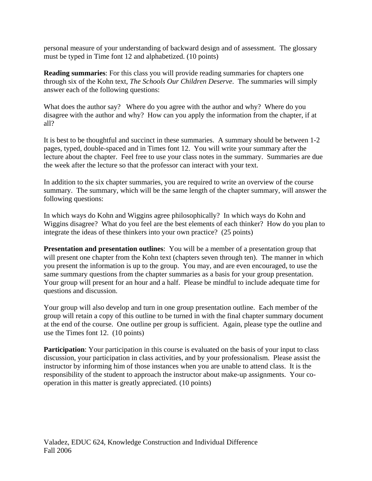personal measure of your understanding of backward design and of assessment. The glossary must be typed in Time font 12 and alphabetized. (10 points)

**Reading summaries**: For this class you will provide reading summaries for chapters one through six of the Kohn text, *The Schools Our Children Deserve*. The summaries will simply answer each of the following questions:

What does the author say? Where do you agree with the author and why? Where do you disagree with the author and why? How can you apply the information from the chapter, if at all?

It is best to be thoughtful and succinct in these summaries. A summary should be between 1-2 pages, typed, double-spaced and in Times font 12. You will write your summary after the lecture about the chapter. Feel free to use your class notes in the summary. Summaries are due the week after the lecture so that the professor can interact with your text.

In addition to the six chapter summaries, you are required to write an overview of the course summary. The summary, which will be the same length of the chapter summary, will answer the following questions:

In which ways do Kohn and Wiggins agree philosophically? In which ways do Kohn and Wiggins disagree? What do you feel are the best elements of each thinker? How do you plan to integrate the ideas of these thinkers into your own practice? (25 points)

**Presentation and presentation outlines**: You will be a member of a presentation group that will present one chapter from the Kohn text (chapters seven through ten). The manner in which you present the information is up to the group. You may, and are even encouraged, to use the same summary questions from the chapter summaries as a basis for your group presentation. Your group will present for an hour and a half. Please be mindful to include adequate time for questions and discussion.

Your group will also develop and turn in one group presentation outline. Each member of the group will retain a copy of this outline to be turned in with the final chapter summary document at the end of the course. One outline per group is sufficient. Again, please type the outline and use the Times font 12. (10 points)

**Participation**: Your participation in this course is evaluated on the basis of your input to class discussion, your participation in class activities, and by your professionalism. Please assist the instructor by informing him of those instances when you are unable to attend class. It is the responsibility of the student to approach the instructor about make-up assignments. Your cooperation in this matter is greatly appreciated. (10 points)